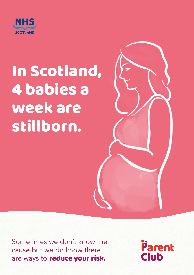

# In Scotland, 4 babies a week are stillborn.

Sometimes we don't know the cause but we do know there are ways to **reduce your risk.** 

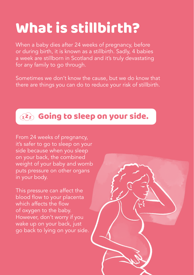## What is stillbirth?

When a baby dies after 24 weeks of pregnancy, before or during birth, it is known as a stillbirth. Sadly, 4 babies a week are stillborn in Scotland and it's truly devastating for any family to go through.

Sometimes we don't know the cause, but we do know that there are things you can do to reduce your risk of stillbirth.

### $\widehat{L^{2}z}$  Going to sleep on your side.

From 24 weeks of pregnancy, it's safer to go to sleep on your side because when you sleep on your back, the combined weight of your baby and womb puts pressure on other organs in your body.

This pressure can affect the blood flow to your placenta which affects the flow of oxygen to the baby. However, don't worry if you wake up on your back, just go back to lying on your side.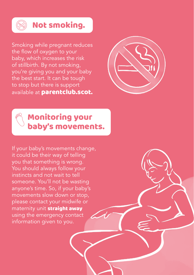

#### Not smoking.

Smoking while pregnant reduces the flow of oxygen to your baby, which increases the risk of stillbirth. By not smoking, you're giving you and your baby the best start. It can be tough to stop but there is support available at **parentclub.scot.** 



### Monitoring your baby's movements.

If your baby's movements change, it could be their way of telling you that something is wrong. You should always follow your instincts and not wait to tell someone. You'll not be wasting anyone's time. So, if your baby's movements slow down or stop, please contact your midwife or maternity unit **straight away** using the emergency contact information given to you.